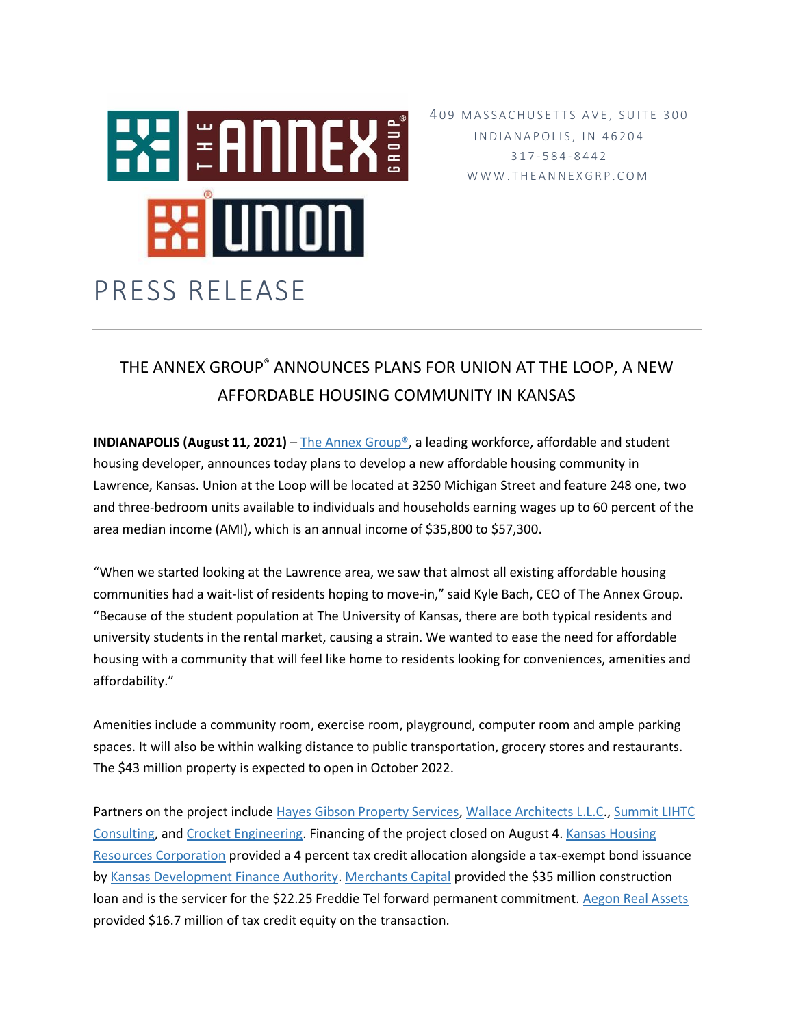

409 MASSACHUSETTS AVE, SUITE 300 IN D I A N A P O L I S, IN 46204 317 - 5 8 4 - 8 4 4 2 W W W . T H E A N N E X G R P . C O M

## THE ANNEX GROUP® ANNOUNCES PLANS FOR UNION AT THE LOOP, A NEW AFFORDABLE HOUSING COMMUNITY IN KANSAS

**INDIANAPOLIS (August 11, 2021)** – [The Annex Group®,](https://www.theannexgrp.com/) a leading workforce, affordable and student housing developer, announces today plans to develop a new affordable housing community in Lawrence, Kansas. Union at the Loop will be located at 3250 Michigan Street and feature 248 one, two and three-bedroom units available to individuals and households earning wages up to 60 percent of the area median income (AMI), which is an annual income of \$35,800 to \$57,300.

"When we started looking at the Lawrence area, we saw that almost all existing affordable housing communities had a wait-list of residents hoping to move-in," said Kyle Bach, CEO of The Annex Group. "Because of the student population at The University of Kansas, there are both typical residents and university students in the rental market, causing a strain. We wanted to ease the need for affordable housing with a community that will feel like home to residents looking for conveniences, amenities and affordability."

Amenities include a community room, exercise room, playground, computer room and ample parking spaces. It will also be within walking distance to public transportation, grocery stores and restaurants. The \$43 million property is expected to open in October 2022.

Partners on the project include [Hayes Gibson Property Services,](https://hayesgibson.com/) [Wallace Architects L.L.C.](https://wallacearchitects.com/), Summit LIHTC [Consulting,](http://www.lihtcprogram.com/) and [Crocket Engineering.](http://www.crockettengineering.com/) Financing of the project closed on August 4[. Kansas Housing](https://kshousingcorp.org/)  [Resources Corporation](https://kshousingcorp.org/) provided a 4 percent tax credit allocation alongside a tax-exempt bond issuance by [Kansas Development Finance Authority.](https://www.kdfa.org/) [Merchants Capital](https://www.merchantscapital.com/) provided the \$35 million construction loan and is the servicer for the \$22.25 Freddie Tel forward permanent commitment[. Aegon Real Assets](https://www.aegonam.com/) provided \$16.7 million of tax credit equity on the transaction.